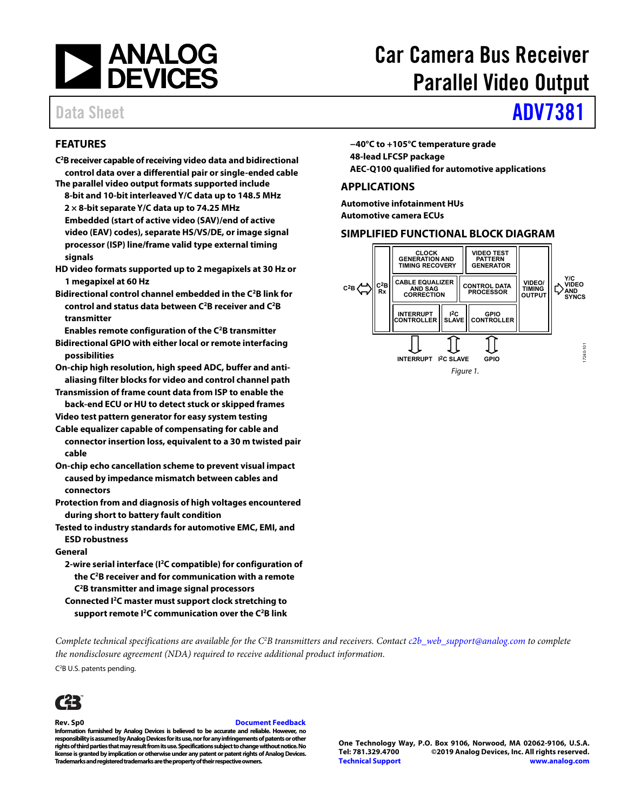

# Car Camera Bus Receiver Parallel Video Output

## Data Sheet **[ADV7381](https://www.analog.com/adv7381?doc=adv7381.pdf)**

### **FEATURES**

- **C2 B receiver capable of receiving video data and bidirectional control data over a differential pair or single-ended cable**
- **The parallel video output formats supported include 8-bit and 10-bit interleaved Y/C data up to 148.5 MHz 2 × 8-bit separate Y/C data up to 74.25 MHz Embedded (start of active video (SAV)/end of active video (EAV) codes), separate HS/VS/DE, or image signal processor (ISP) line/frame valid type external timing signals**
- **HD video formats supported up to 2 megapixels at 30 Hz or 1 megapixel at 60 Hz**
- **Bidirectional control channel embedded in the C2B link for control and status data between C2B receiver and C2B transmitter**

**Enables remote configuration of the C2B transmitter** 

- **Bidirectional GPIO with either local or remote interfacing possibilities**
- **On-chip high resolution, high speed ADC, buffer and antialiasing filter blocks for video and control channel path**
- **Transmission of frame count data from ISP to enable the back-end ECU or HU to detect stuck or skipped frames**
- **Video test pattern generator for easy system testing**
- **Cable equalizer capable of compensating for cable and connector insertion loss, equivalent to a 30 m twisted pair cable**
- **On-chip echo cancellation scheme to prevent visual impact caused by impedance mismatch between cables and connectors**
- **Protection from and diagnosis of high voltages encountered during short to battery fault condition**
- **Tested to industry standards for automotive EMC, EMI, and ESD robustness**

#### **General**

**2-wire serial interface (I2C compatible) for configuration of the C2B receiver and for communication with a remote C2B transmitter and image signal processors** 

**Connected I2C master must support clock stretching to support remote I2C communication over the C2B link**  **−40°C to +105°C temperature grade 48-lead LFCSP package AEC-Q100 qualified for automotive applications** 

#### **APPLICATIONS**

**Automotive infotainment HUs Automotive camera ECUs** 

#### **SIMPLIFIED FUNCTIONAL BLOCK DIAGRAM**



*Complete technical specifications are available for the C2 B transmitters and receivers. Contact [c2b\\_web\\_support@analog.com t](mailto:c2b_web_support@analog.com)o complete the nondisclosure agreement (NDA) required to receive additional product information.* 

C<sup>2</sup>B U.S. patents pending.



#### **Rev. Sp0 Document Feedback**

**Information furnished by Analog Devices is believed to be accurate and reliable. However, no responsibility is assumed by Analog Devices for its use, nor for any infringements of patents or other rights of third parties that may result from its use. Specifications subject to change without notice. No license is granted by implication or otherwise under any patent or patent rights of Analog Devices. Trademarks and registered trademarks are the property of their respective owners.** 

**One Technology Way, P.O. Box 9106, Norwood, MA 02062-9106, U.S.A.** ©2019 Analog Devices, Inc. All rights reserved. **[Technical Support](https://www.analog.com/en/content/technical_support_page/fca.html) [www.analog.com](https://www.analog.com/)**